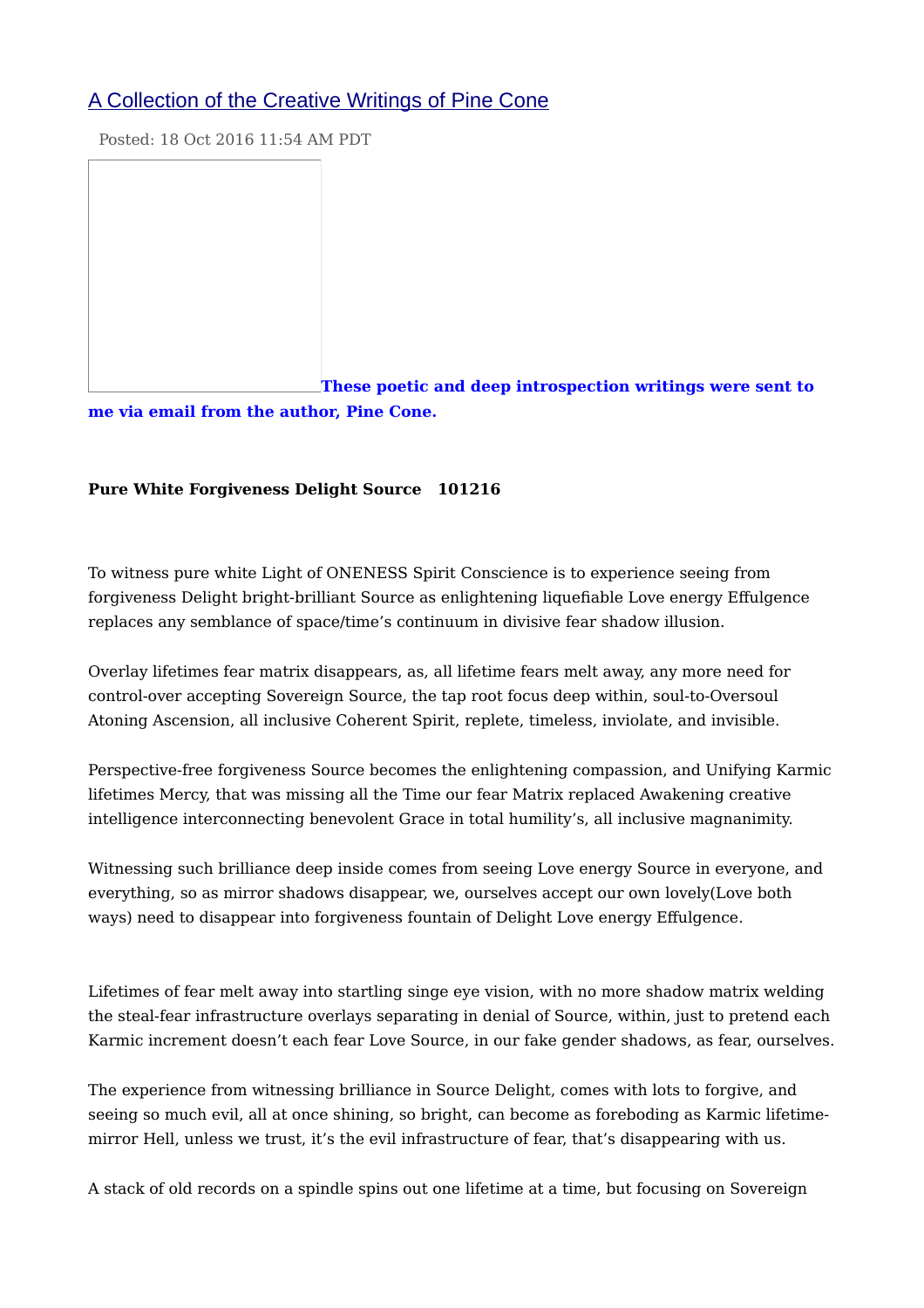# [A Collection of the Creative Writings of Pine Cone](http://feedproxy.google.com/~r/ascensionwithearth/kRNq/~3/su_zXbKoeFw/a-collection-of-creative-writings-of.html?utm_source=feedburner&utm_medium=email)

Posted: 18 Oct 2016 11:54 AM PDT

**[T](https://s-media-cache-ak0.pinimg.com/236x/1c/f4/b4/1cf4b4b9790e184e2fb24098885370dc.jpg)hese poetic and deep introspection writings were sent to me via email from the author, Pine Cone.**

# **Pure White Forgiveness Delight Source 101216**

To witness pure white Light of ONENESS Spirit Conscience is to experience seeing from forgiveness Delight bright-brilliant Source as enlightening liquefiable Love energy Effulgence replaces any semblance of space/time's continuum in divisive fear shadow illusion.

Overlay lifetimes fear matrix disappears, as, all lifetime fears melt away, any more need for control-over accepting Sovereign Source, the tap root focus deep within, soul-to-Oversoul Atoning Ascension, all inclusive Coherent Spirit, replete, timeless, inviolate, and invisible.

Perspective-free forgiveness Source becomes the enlightening compassion, and Unifying Karmic lifetimes Mercy, that was missing all the Time our fear Matrix replaced Awakening creative intelligence interconnecting benevolent Grace in total humility's, all inclusive magnanimity.

Witnessing such brilliance deep inside comes from seeing Love energy Source in everyone, and everything, so as mirror shadows disappear, we, ourselves accept our own lovely(Love both ways) need to disappear into forgiveness fountain of Delight Love energy Effulgence.

Lifetimes of fear melt away into startling singe eye vision, with no more shadow matrix welding the steal-fear infrastructure overlays separating in denial of Source, within, just to pretend each Karmic increment doesn't each fear Love Source, in our fake gender shadows, as fear, ourselves.

The experience from witnessing brilliance in Source Delight, comes with lots to forgive, and seeing so much evil, all at once shining, so bright, can become as foreboding as Karmic lifetimemirror Hell, unless we trust, it's the evil infrastructure of fear, that's disappearing with us.

A stack of old records on a spindle spins out one lifetime at a time, but focusing on Sovereign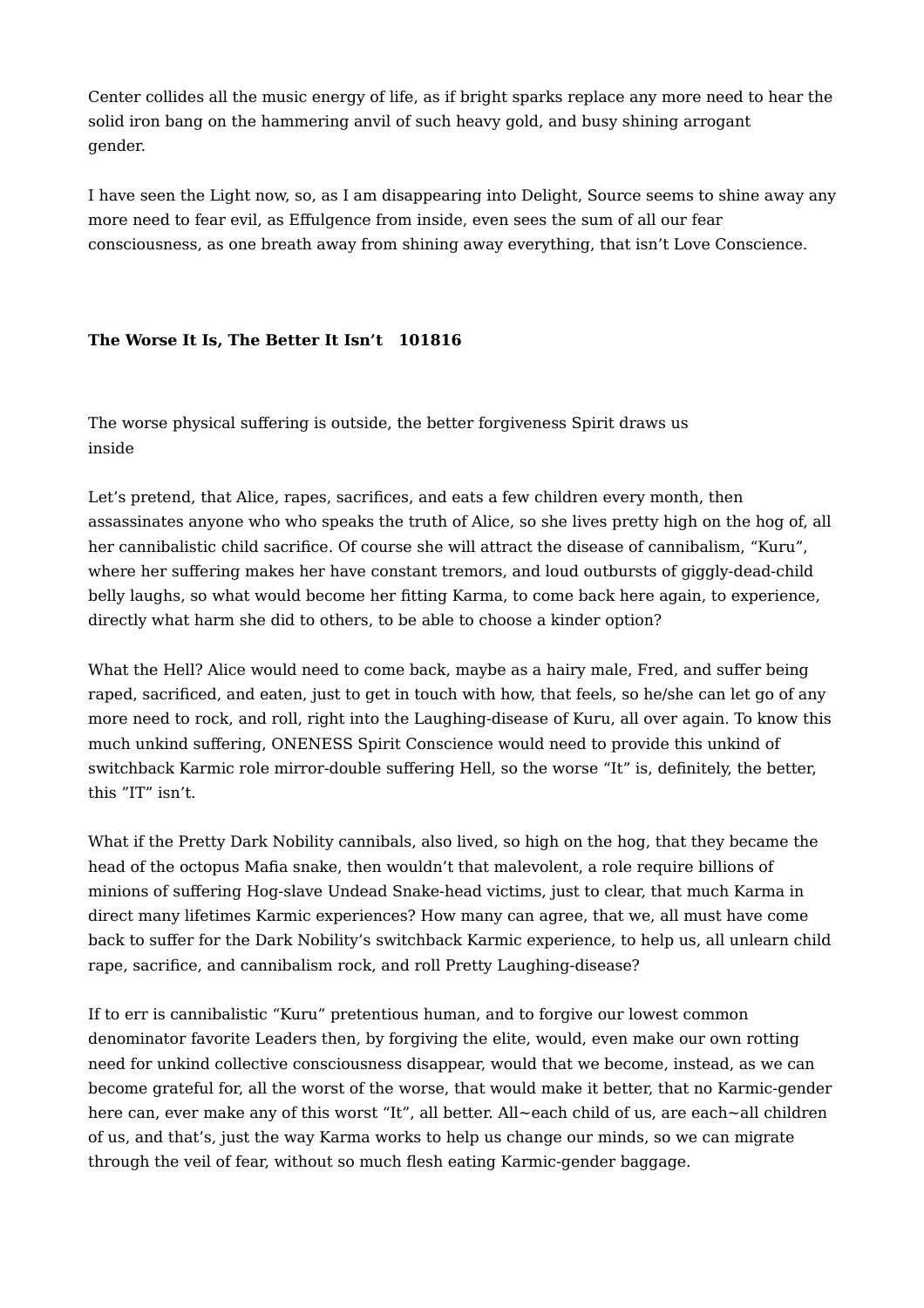Center collides all the music energy of life, as if bright sparks replace any more need to hear the solid iron bang on the hammering anvil of such heavy gold, and busy shining arrogant gender.

I have seen the Light now, so, as I am disappearing into Delight, Source seems to shine away any more need to fear evil, as Effulgence from inside, even sees the sum of all our fear consciousness, as one breath away from shining away everything, that isn't Love Conscience.

# **The Worse It Is, The Better It Isn't 101816**

The worse physical suffering is outside, the better forgiveness Spirit draws us inside

Let's pretend, that Alice, rapes, sacrifices, and eats a few children every month, then assassinates anyone who who speaks the truth of Alice, so she lives pretty high on the hog of, all her cannibalistic child sacrifice. Of course she will attract the disease of cannibalism, "Kuru", where her suffering makes her have constant tremors, and loud outbursts of giggly-dead-child belly laughs, so what would become her fitting Karma, to come back here again, to experience, directly what harm she did to others, to be able to choose a kinder option?

What the Hell? Alice would need to come back, maybe as a hairy male, Fred, and suffer being raped, sacrificed, and eaten, just to get in touch with how, that feels, so he/she can let go of any more need to rock, and roll, right into the Laughing-disease of Kuru, all over again. To know this much unkind suffering, ONENESS Spirit Conscience would need to provide this unkind of switchback Karmic role mirror-double suffering Hell, so the worse "It" is, definitely, the better, this "IT" isn't.

What if the Pretty Dark Nobility cannibals, also lived, so high on the hog, that they became the head of the octopus Mafia snake, then wouldn't that malevolent, a role require billions of minions of suffering Hog-slave Undead Snake-head victims, just to clear, that much Karma in direct many lifetimes Karmic experiences? How many can agree, that we, all must have come back to suffer for the Dark Nobility's switchback Karmic experience, to help us, all unlearn child rape, sacrifice, and cannibalism rock, and roll Pretty Laughing-disease?

If to err is cannibalistic "Kuru" pretentious human, and to forgive our lowest common denominator favorite Leaders then, by forgiving the elite, would, even make our own rotting need for unkind collective consciousness disappear, would that we become, instead, as we can become grateful for, all the worst of the worse, that would make it better, that no Karmic-gender here can, ever make any of this worst "It", all better. All~each child of us, are each~all children of us, and that's, just the way Karma works to help us change our minds, so we can migrate through the veil of fear, without so much flesh eating Karmic-gender baggage.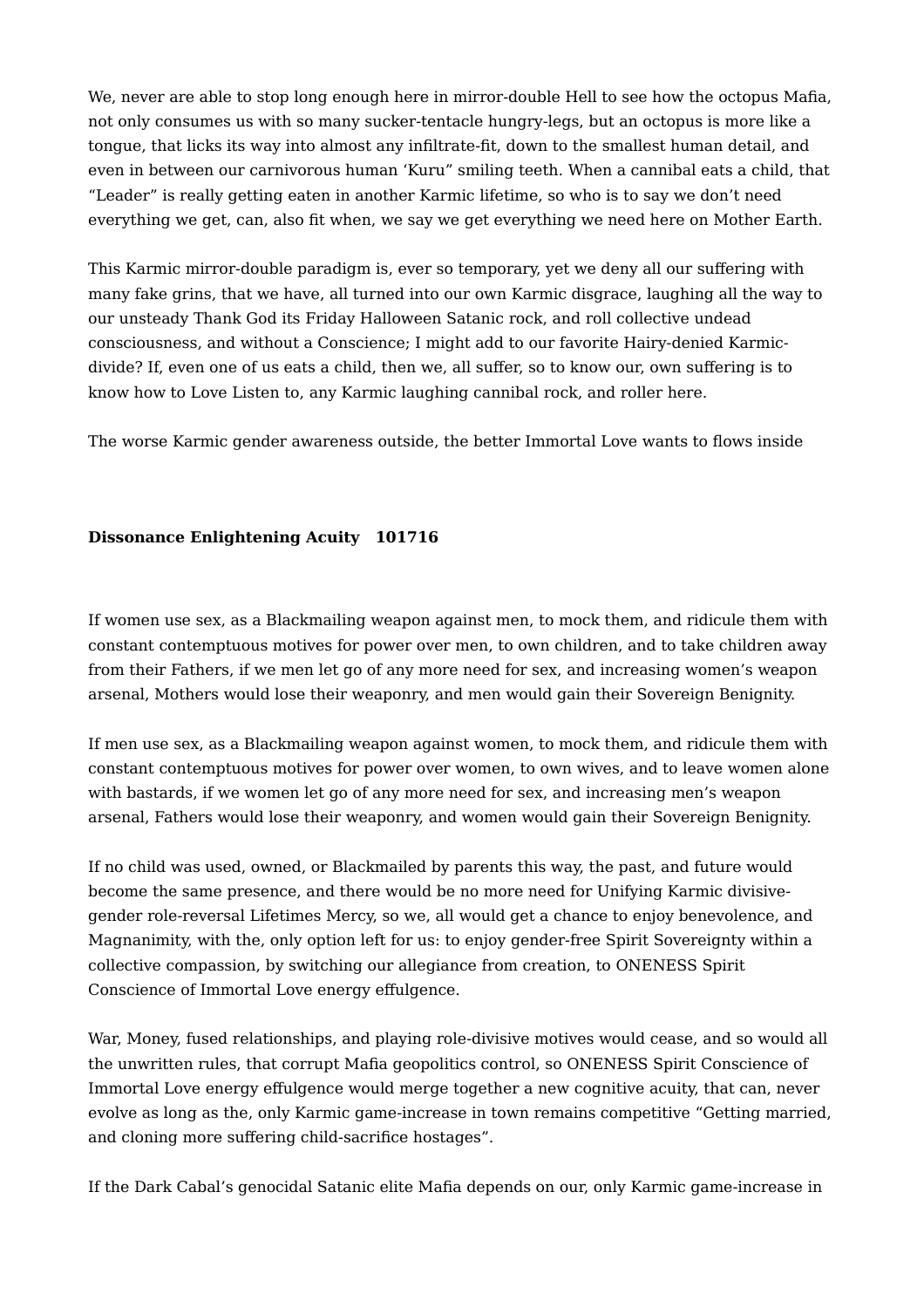We, never are able to stop long enough here in mirror-double Hell to see how the octopus Mafia, not only consumes us with so many sucker-tentacle hungry-legs, but an octopus is more like a tongue, that licks its way into almost any infiltrate-fit, down to the smallest human detail, and even in between our carnivorous human 'Kuru" smiling teeth. When a cannibal eats a child, that "Leader" is really getting eaten in another Karmic lifetime, so who is to say we don't need everything we get, can, also fit when, we say we get everything we need here on Mother Earth.

This Karmic mirror-double paradigm is, ever so temporary, yet we deny all our suffering with many fake grins, that we have, all turned into our own Karmic disgrace, laughing all the way to our unsteady Thank God its Friday Halloween Satanic rock, and roll collective undead consciousness, and without a Conscience; I might add to our favorite Hairy-denied Karmicdivide? If, even one of us eats a child, then we, all suffer, so to know our, own suffering is to know how to Love Listen to, any Karmic laughing cannibal rock, and roller here.

The worse Karmic gender awareness outside, the better Immortal Love wants to flows inside

# **Dissonance Enlightening Acuity 101716**

If women use sex, as a Blackmailing weapon against men, to mock them, and ridicule them with constant contemptuous motives for power over men, to own children, and to take children away from their Fathers, if we men let go of any more need for sex, and increasing women's weapon arsenal, Mothers would lose their weaponry, and men would gain their Sovereign Benignity.

If men use sex, as a Blackmailing weapon against women, to mock them, and ridicule them with constant contemptuous motives for power over women, to own wives, and to leave women alone with bastards, if we women let go of any more need for sex, and increasing men's weapon arsenal, Fathers would lose their weaponry, and women would gain their Sovereign Benignity.

If no child was used, owned, or Blackmailed by parents this way, the past, and future would become the same presence, and there would be no more need for Unifying Karmic divisivegender role-reversal Lifetimes Mercy, so we, all would get a chance to enjoy benevolence, and Magnanimity, with the, only option left for us: to enjoy gender-free Spirit Sovereignty within a collective compassion, by switching our allegiance from creation, to ONENESS Spirit Conscience of Immortal Love energy effulgence.

War, Money, fused relationships, and playing role-divisive motives would cease, and so would all the unwritten rules, that corrupt Mafia geopolitics control, so ONENESS Spirit Conscience of Immortal Love energy effulgence would merge together a new cognitive acuity, that can, never evolve as long as the, only Karmic game-increase in town remains competitive "Getting married, and cloning more suffering child-sacrifice hostages".

If the Dark Cabal's genocidal Satanic elite Mafia depends on our, only Karmic game-increase in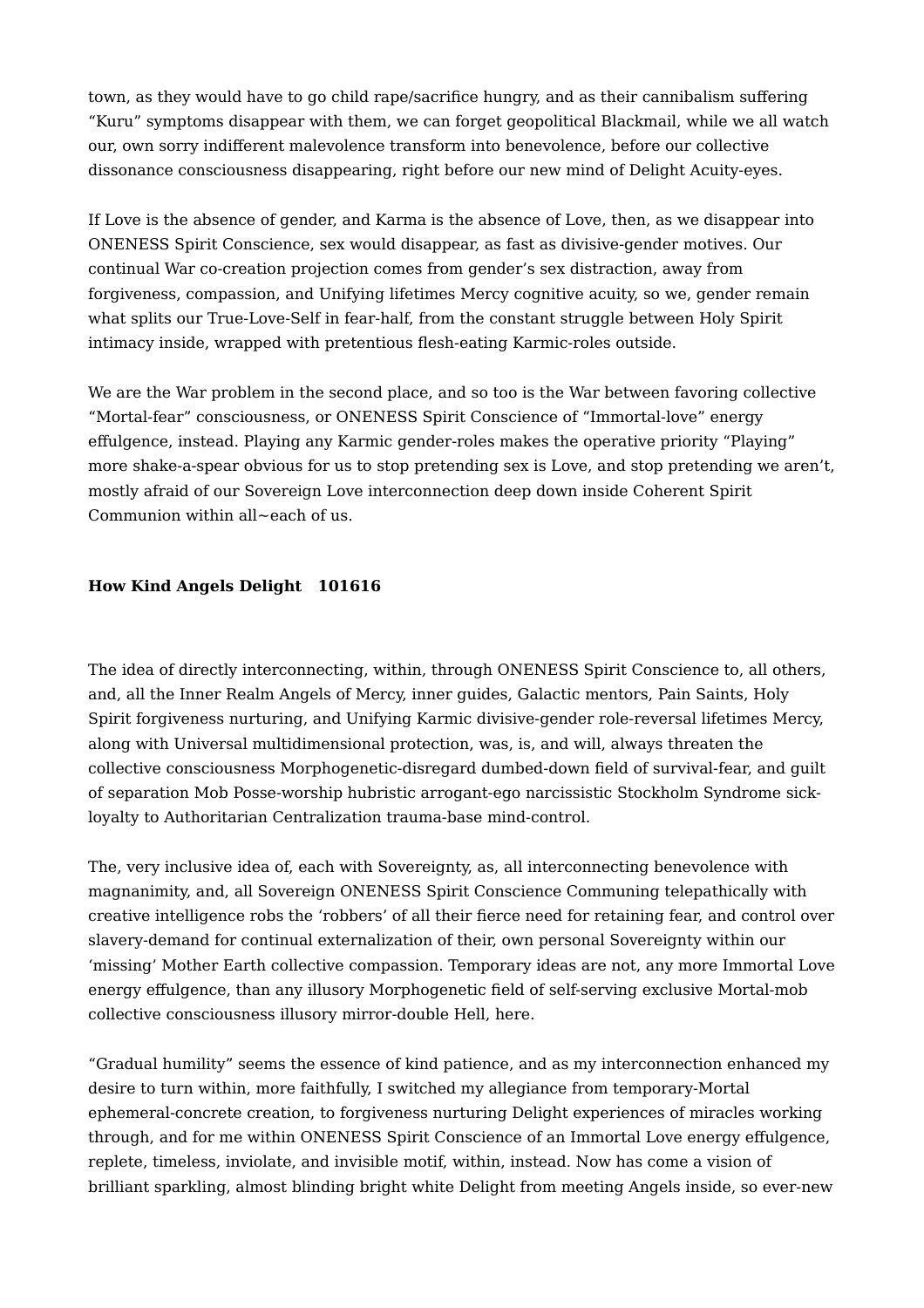town, as they would have to go child rape/sacrifice hungry, and as their cannibalism suffering "Kuru" symptoms disappear with them, we can forget geopolitical Blackmail, while we all watch our, own sorry indifferent malevolence transform into benevolence, before our collective dissonance consciousness disappearing, right before our new mind of Delight Acuity-eyes.

If Love is the absence of gender, and Karma is the absence of Love, then, as we disappear into ONENESS Spirit Conscience, sex would disappear, as fast as divisive-gender motives. Our continual War co-creation projection comes from gender's sex distraction, away from forgiveness, compassion, and Unifying lifetimes Mercy cognitive acuity, so we, gender remain what splits our True-Love-Self in fear-half, from the constant struggle between Holy Spirit intimacy inside, wrapped with pretentious flesh-eating Karmic-roles outside.

We are the War problem in the second place, and so too is the War between favoring collective "Mortal-fear" consciousness, or ONENESS Spirit Conscience of "Immortal-love" energy effulgence, instead. Playing any Karmic gender-roles makes the operative priority "Playing" more shake-a-spear obvious for us to stop pretending sex is Love, and stop pretending we aren't, mostly afraid of our Sovereign Love interconnection deep down inside Coherent Spirit Communion within all~each of us.

# **How Kind Angels Delight 101616**

The idea of directly interconnecting, within, through ONENESS Spirit Conscience to, all others, and, all the Inner Realm Angels of Mercy, inner guides, Galactic mentors, Pain Saints, Holy Spirit forgiveness nurturing, and Unifying Karmic divisive-gender role-reversal lifetimes Mercy, along with Universal multidimensional protection, was, is, and will, always threaten the collective consciousness Morphogenetic-disregard dumbed-down field of survival-fear, and guilt of separation Mob Posse-worship hubristic arrogant-ego narcissistic Stockholm Syndrome sickloyalty to Authoritarian Centralization trauma-base mind-control.

The, very inclusive idea of, each with Sovereignty, as, all interconnecting benevolence with magnanimity, and, all Sovereign ONENESS Spirit Conscience Communing telepathically with creative intelligence robs the 'robbers' of all their fierce need for retaining fear, and control over slavery-demand for continual externalization of their, own personal Sovereignty within our 'missing' Mother Earth collective compassion. Temporary ideas are not, any more Immortal Love energy effulgence, than any illusory Morphogenetic field of self-serving exclusive Mortal-mob collective consciousness illusory mirror-double Hell, here.

"Gradual humility" seems the essence of kind patience, and as my interconnection enhanced my desire to turn within, more faithfully, I switched my allegiance from temporary-Mortal ephemeral-concrete creation, to forgiveness nurturing Delight experiences of miracles working through, and for me within ONENESS Spirit Conscience of an Immortal Love energy effulgence, replete, timeless, inviolate, and invisible motif, within, instead. Now has come a vision of brilliant sparkling, almost blinding bright white Delight from meeting Angels inside, so ever-new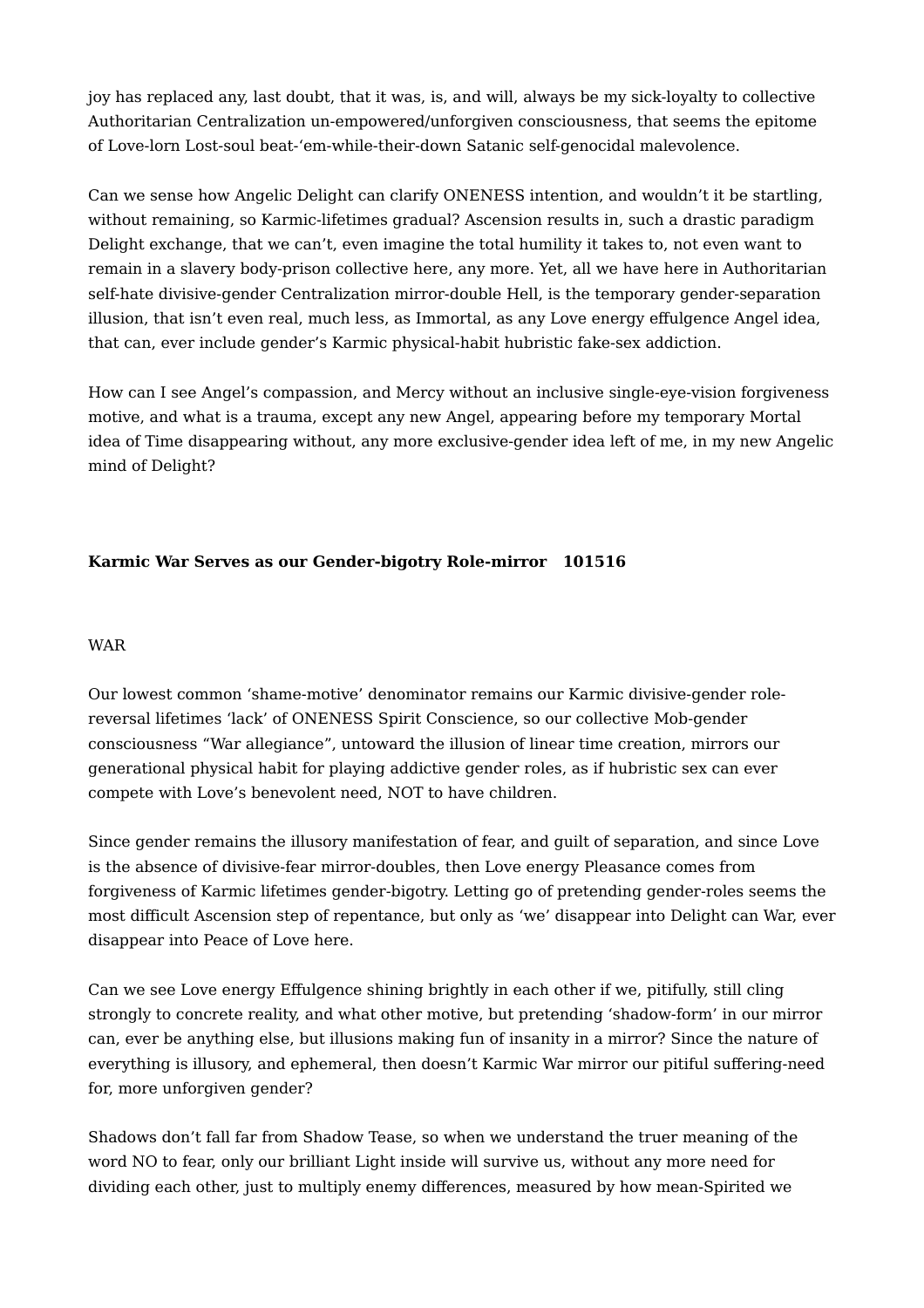joy has replaced any, last doubt, that it was, is, and will, always be my sick-loyalty to collective Authoritarian Centralization un-empowered/unforgiven consciousness, that seems the epitome of Love-lorn Lost-soul beat-'em-while-their-down Satanic self-genocidal malevolence.

Can we sense how Angelic Delight can clarify ONENESS intention, and wouldn't it be startling, without remaining, so Karmic-lifetimes gradual? Ascension results in, such a drastic paradigm Delight exchange, that we can't, even imagine the total humility it takes to, not even want to remain in a slavery body-prison collective here, any more. Yet, all we have here in Authoritarian self-hate divisive-gender Centralization mirror-double Hell, is the temporary gender-separation illusion, that isn't even real, much less, as Immortal, as any Love energy effulgence Angel idea, that can, ever include gender's Karmic physical-habit hubristic fake-sex addiction.

How can I see Angel's compassion, and Mercy without an inclusive single-eye-vision forgiveness motive, and what is a trauma, except any new Angel, appearing before my temporary Mortal idea of Time disappearing without, any more exclusive-gender idea left of me, in my new Angelic mind of Delight?

# **Karmic War Serves as our Gender-bigotry Role-mirror 101516**

### WAR

Our lowest common 'shame-motive' denominator remains our Karmic divisive-gender rolereversal lifetimes 'lack' of ONENESS Spirit Conscience, so our collective Mob-gender consciousness "War allegiance", untoward the illusion of linear time creation, mirrors our generational physical habit for playing addictive gender roles, as if hubristic sex can ever compete with Love's benevolent need, NOT to have children.

Since gender remains the illusory manifestation of fear, and guilt of separation, and since Love is the absence of divisive-fear mirror-doubles, then Love energy Pleasance comes from forgiveness of Karmic lifetimes gender-bigotry. Letting go of pretending gender-roles seems the most difficult Ascension step of repentance, but only as 'we' disappear into Delight can War, ever disappear into Peace of Love here.

Can we see Love energy Effulgence shining brightly in each other if we, pitifully, still cling strongly to concrete reality, and what other motive, but pretending 'shadow-form' in our mirror can, ever be anything else, but illusions making fun of insanity in a mirror? Since the nature of everything is illusory, and ephemeral, then doesn't Karmic War mirror our pitiful suffering-need for, more unforgiven gender?

Shadows don't fall far from Shadow Tease, so when we understand the truer meaning of the word NO to fear, only our brilliant Light inside will survive us, without any more need for dividing each other, just to multiply enemy differences, measured by how mean-Spirited we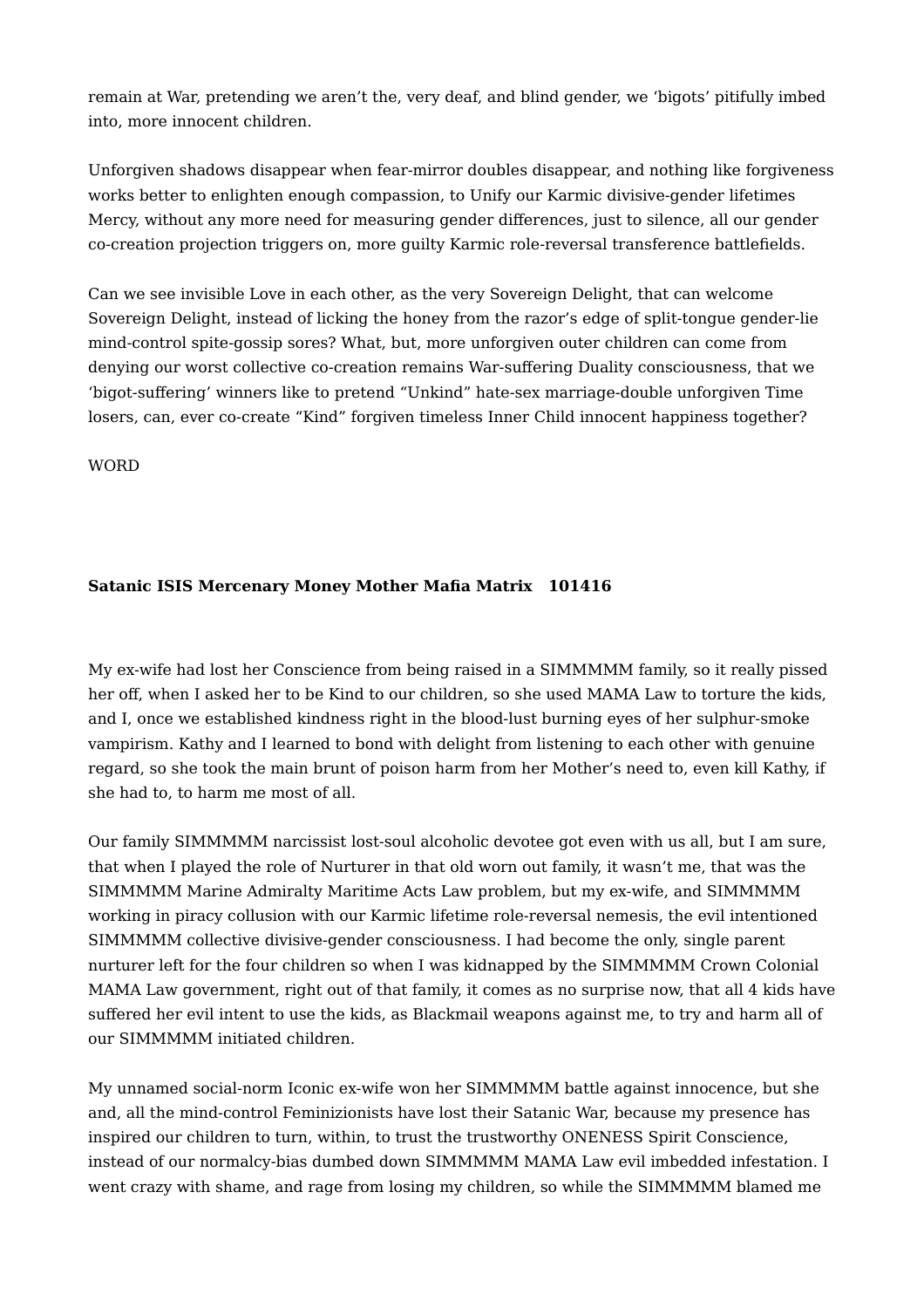remain at War, pretending we aren't the, very deaf, and blind gender, we 'bigots' pitifully imbed into, more innocent children.

Unforgiven shadows disappear when fear-mirror doubles disappear, and nothing like forgiveness works better to enlighten enough compassion, to Unify our Karmic divisive-gender lifetimes Mercy, without any more need for measuring gender differences, just to silence, all our gender co-creation projection triggers on, more guilty Karmic role-reversal transference battlefields.

Can we see invisible Love in each other, as the very Sovereign Delight, that can welcome Sovereign Delight, instead of licking the honey from the razor's edge of split-tongue gender-lie mind-control spite-gossip sores? What, but, more unforgiven outer children can come from denying our worst collective co-creation remains War-suffering Duality consciousness, that we 'bigot-suffering' winners like to pretend "Unkind" hate-sex marriage-double unforgiven Time losers, can, ever co-create "Kind" forgiven timeless Inner Child innocent happiness together?

WORD

# **Satanic ISIS Mercenary Money Mother Mafia Matrix 101416**

My ex-wife had lost her Conscience from being raised in a SIMMMMM family, so it really pissed her off, when I asked her to be Kind to our children, so she used MAMA Law to torture the kids, and I, once we established kindness right in the blood-lust burning eyes of her sulphur-smoke vampirism. Kathy and I learned to bond with delight from listening to each other with genuine regard, so she took the main brunt of poison harm from her Mother's need to, even kill Kathy, if she had to, to harm me most of all.

Our family SIMMMMM narcissist lost-soul alcoholic devotee got even with us all, but I am sure, that when I played the role of Nurturer in that old worn out family, it wasn't me, that was the SIMMMMM Marine Admiralty Maritime Acts Law problem, but my ex-wife, and SIMMMMM working in piracy collusion with our Karmic lifetime role-reversal nemesis, the evil intentioned SIMMMMM collective divisive-gender consciousness. I had become the only, single parent nurturer left for the four children so when I was kidnapped by the SIMMMMM Crown Colonial MAMA Law government, right out of that family, it comes as no surprise now, that all 4 kids have suffered her evil intent to use the kids, as Blackmail weapons against me, to try and harm all of our SIMMMMM initiated children.

My unnamed social-norm Iconic ex-wife won her SIMMMMM battle against innocence, but she and, all the mind-control Feminizionists have lost their Satanic War, because my presence has inspired our children to turn, within, to trust the trustworthy ONENESS Spirit Conscience, instead of our normalcy-bias dumbed down SIMMMMM MAMA Law evil imbedded infestation. I went crazy with shame, and rage from losing my children, so while the SIMMMMM blamed me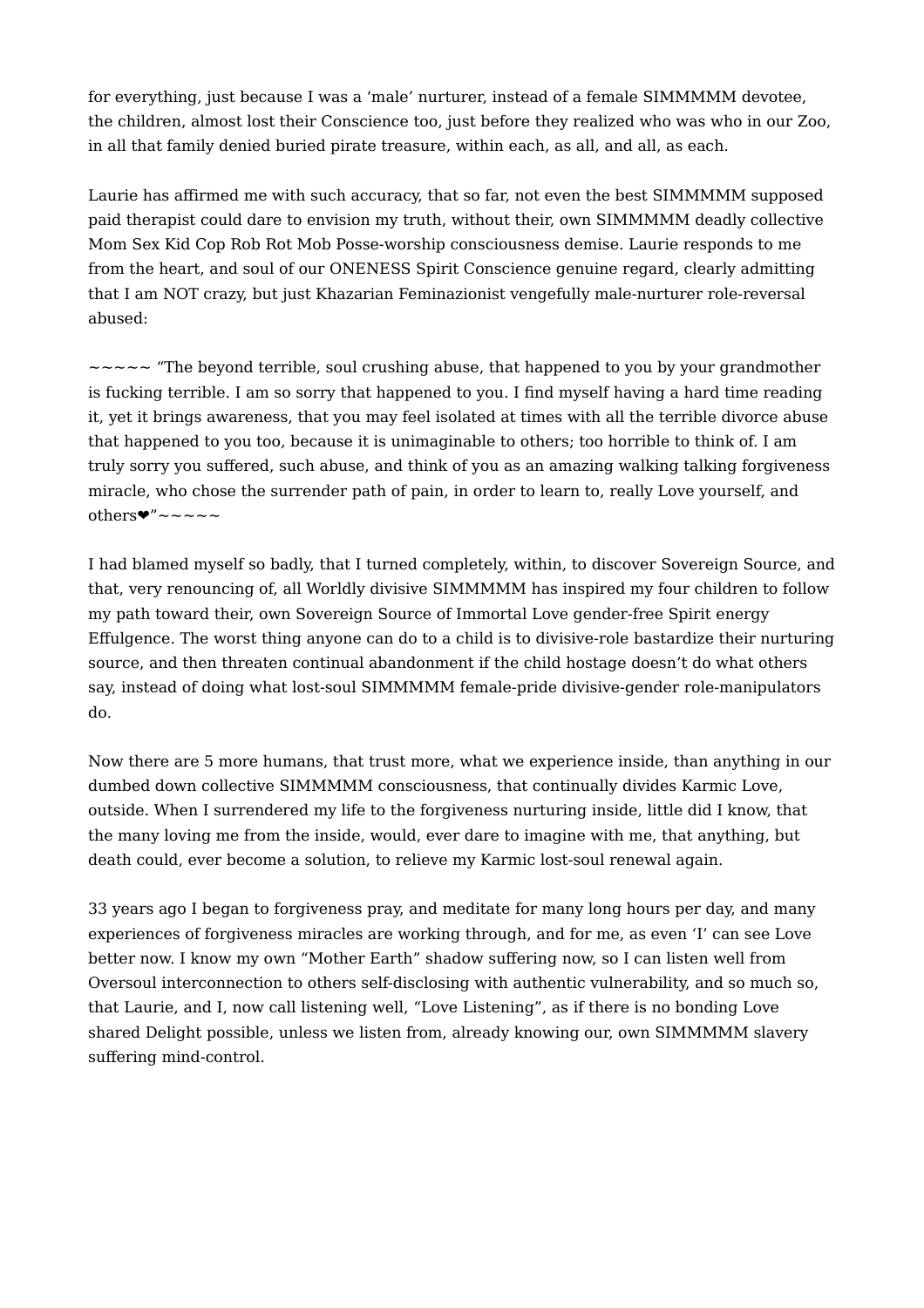for everything, just because I was a 'male' nurturer, instead of a female SIMMMMM devotee, the children, almost lost their Conscience too, just before they realized who was who in our Zoo, in all that family denied buried pirate treasure, within each, as all, and all, as each.

Laurie has affirmed me with such accuracy, that so far, not even the best SIMMMMM supposed paid therapist could dare to envision my truth, without their, own SIMMMMM deadly collective Mom Sex Kid Cop Rob Rot Mob Posse-worship consciousness demise. Laurie responds to me from the heart, and soul of our ONENESS Spirit Conscience genuine regard, clearly admitting that I am NOT crazy, but just Khazarian Feminazionist vengefully male-nurturer role-reversal abused:

 $\sim$   $\sim$   $\sim$   $\sim$  "The beyond terrible, soul crushing abuse, that happened to you by your grandmother is fucking terrible. I am so sorry that happened to you. I find myself having a hard time reading it, yet it brings awareness, that you may feel isolated at times with all the terrible divorce abuse that happened to you too, because it is unimaginable to others; too horrible to think of. I am truly sorry you suffered, such abuse, and think of you as an amazing walking talking forgiveness miracle, who chose the surrender path of pain, in order to learn to, really Love yourself, and others  $\bullet$ "~~~~~

I had blamed myself so badly, that I turned completely, within, to discover Sovereign Source, and that, very renouncing of, all Worldly divisive SIMMMMM has inspired my four children to follow my path toward their, own Sovereign Source of Immortal Love gender-free Spirit energy Effulgence. The worst thing anyone can do to a child is to divisive-role bastardize their nurturing source, and then threaten continual abandonment if the child hostage doesn't do what others say, instead of doing what lost-soul SIMMMMM female-pride divisive-gender role-manipulators do.

Now there are 5 more humans, that trust more, what we experience inside, than anything in our dumbed down collective SIMMMMM consciousness, that continually divides Karmic Love, outside. When I surrendered my life to the forgiveness nurturing inside, little did I know, that the many loving me from the inside, would, ever dare to imagine with me, that anything, but death could, ever become a solution, to relieve my Karmic lost-soul renewal again.

33 years ago I began to forgiveness pray, and meditate for many long hours per day, and many experiences of forgiveness miracles are working through, and for me, as even 'I' can see Love better now. I know my own "Mother Earth" shadow suffering now, so I can listen well from Oversoul interconnection to others self-disclosing with authentic vulnerability, and so much so, that Laurie, and I, now call listening well, "Love Listening", as if there is no bonding Love shared Delight possible, unless we listen from, already knowing our, own SIMMMMM slavery suffering mind-control.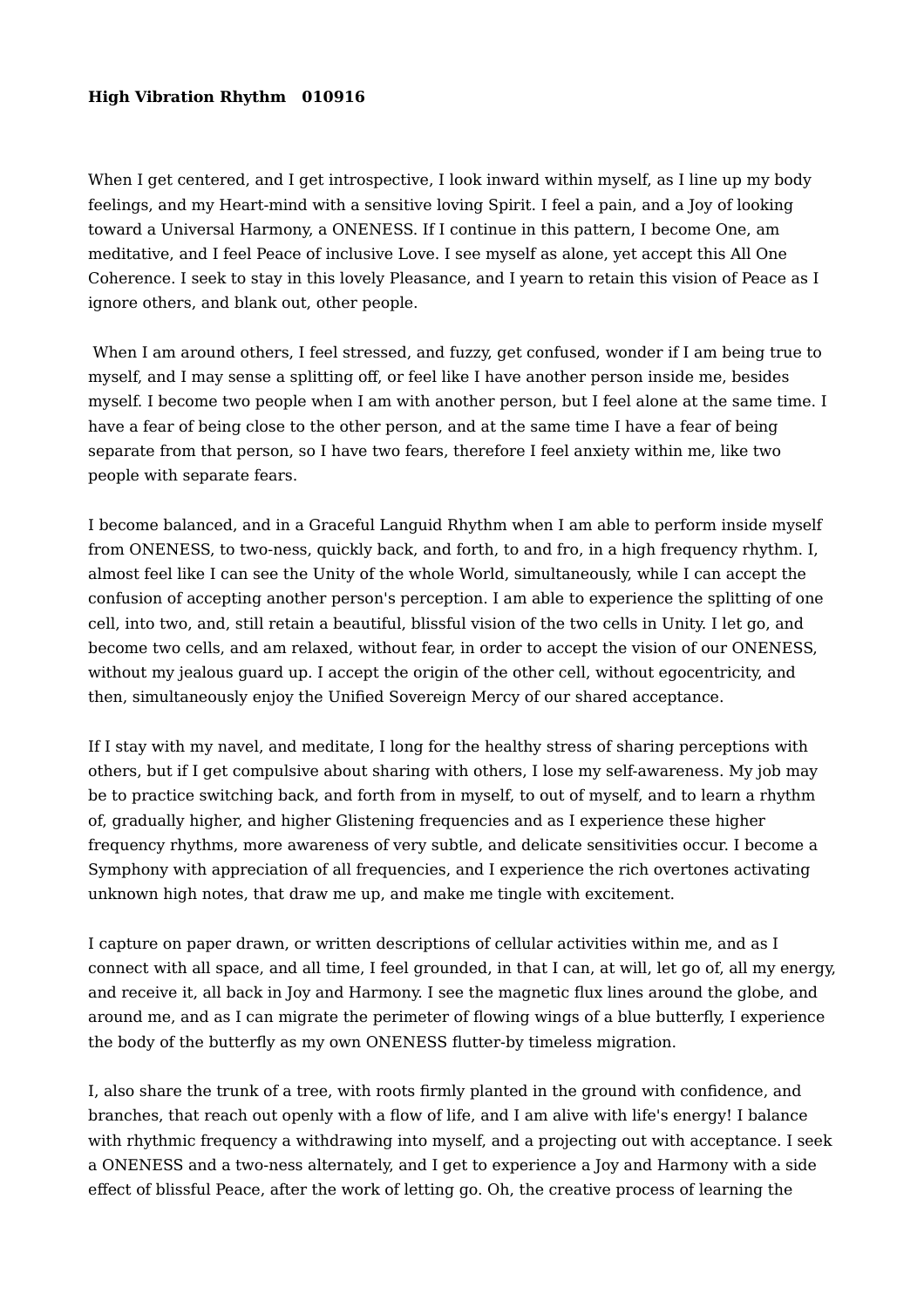### **High Vibration Rhythm 010916**

When I get centered, and I get introspective. I look inward within myself, as I line up my body feelings, and my Heart-mind with a sensitive loving Spirit. I feel a pain, and a Joy of looking toward a Universal Harmony, a ONENESS. If I continue in this pattern, I become One, am meditative, and I feel Peace of inclusive Love. I see myself as alone, yet accept this All One Coherence. I seek to stay in this lovely Pleasance, and I yearn to retain this vision of Peace as I ignore others, and blank out, other people.

When I am around others, I feel stressed, and fuzzy, get confused, wonder if I am being true to myself, and I may sense a splitting off, or feel like I have another person inside me, besides myself. I become two people when I am with another person, but I feel alone at the same time. I have a fear of being close to the other person, and at the same time I have a fear of being separate from that person, so I have two fears, therefore I feel anxiety within me, like two people with separate fears.

I become balanced, and in a Graceful Languid Rhythm when I am able to perform inside myself from ONENESS, to two-ness, quickly back, and forth, to and fro, in a high frequency rhythm. I, almost feel like I can see the Unity of the whole World, simultaneously, while I can accept the confusion of accepting another person's perception. I am able to experience the splitting of one cell, into two, and, still retain a beautiful, blissful vision of the two cells in Unity. I let go, and become two cells, and am relaxed, without fear, in order to accept the vision of our ONENESS, without my jealous guard up. I accept the origin of the other cell, without egocentricity, and then, simultaneously enjoy the Unified Sovereign Mercy of our shared acceptance.

If I stay with my navel, and meditate, I long for the healthy stress of sharing perceptions with others, but if I get compulsive about sharing with others, I lose my self-awareness. My job may be to practice switching back, and forth from in myself, to out of myself, and to learn a rhythm of, gradually higher, and higher Glistening frequencies and as I experience these higher frequency rhythms, more awareness of very subtle, and delicate sensitivities occur. I become a Symphony with appreciation of all frequencies, and I experience the rich overtones activating unknown high notes, that draw me up, and make me tingle with excitement.

I capture on paper drawn, or written descriptions of cellular activities within me, and as I connect with all space, and all time, I feel grounded, in that I can, at will, let go of, all my energy, and receive it, all back in Joy and Harmony. I see the magnetic flux lines around the globe, and around me, and as I can migrate the perimeter of flowing wings of a blue butterfly, I experience the body of the butterfly as my own ONENESS flutter-by timeless migration.

I, also share the trunk of a tree, with roots firmly planted in the ground with confidence, and branches, that reach out openly with a flow of life, and I am alive with life's energy! I balance with rhythmic frequency a withdrawing into myself, and a projecting out with acceptance. I seek a ONENESS and a two-ness alternately, and I get to experience a Joy and Harmony with a side effect of blissful Peace, after the work of letting go. Oh, the creative process of learning the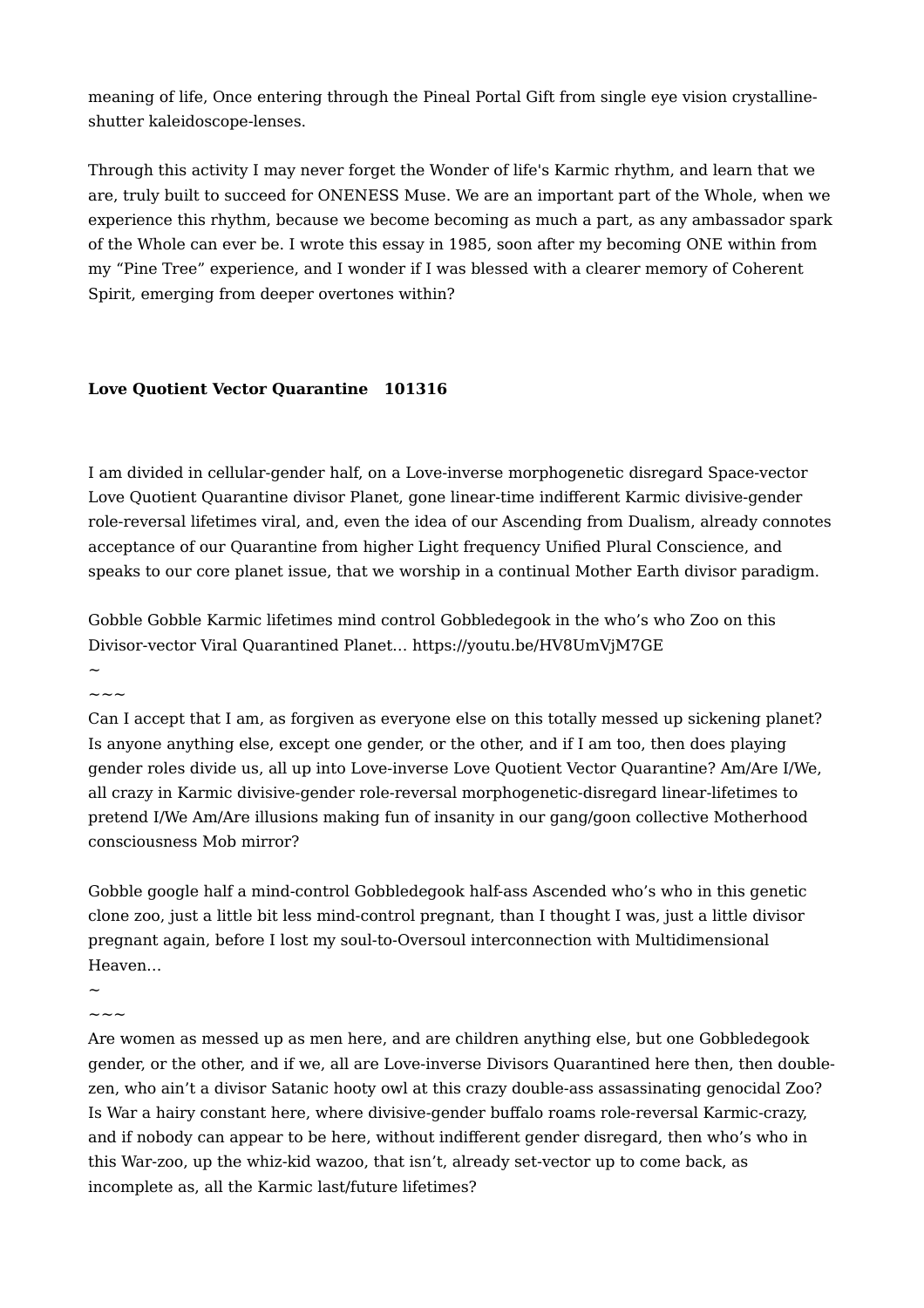meaning of life, Once entering through the Pineal Portal Gift from single eye vision crystallineshutter kaleidoscope-lenses.

Through this activity I may never forget the Wonder of life's Karmic rhythm, and learn that we are, truly built to succeed for ONENESS Muse. We are an important part of the Whole, when we experience this rhythm, because we become becoming as much a part, as any ambassador spark of the Whole can ever be. I wrote this essay in 1985, soon after my becoming ONE within from my "Pine Tree" experience, and I wonder if I was blessed with a clearer memory of Coherent Spirit, emerging from deeper overtones within?

# **Love Quotient Vector Quarantine 101316**

I am divided in cellular-gender half, on a Love-inverse morphogenetic disregard Space-vector Love Quotient Quarantine divisor Planet, gone linear-time indifferent Karmic divisive-gender role-reversal lifetimes viral, and, even the idea of our Ascending from Dualism, already connotes acceptance of our Quarantine from higher Light frequency Unified Plural Conscience, and speaks to our core planet issue, that we worship in a continual Mother Earth divisor paradigm.

Gobble Gobble Karmic lifetimes mind control Gobbledegook in the who's who Zoo on this Divisor-vector Viral Quarantined Planet… https://youtu.be/HV8UmVjM7GE

 $\sim$  $\sim\sim\sim$ 

Can I accept that I am, as forgiven as everyone else on this totally messed up sickening planet? Is anyone anything else, except one gender, or the other, and if I am too, then does playing gender roles divide us, all up into Love-inverse Love Quotient Vector Quarantine? Am/Are I/We, all crazy in Karmic divisive-gender role-reversal morphogenetic-disregard linear-lifetimes to pretend I/We Am/Are illusions making fun of insanity in our gang/goon collective Motherhood consciousness Mob mirror?

Gobble google half a mind-control Gobbledegook half-ass Ascended who's who in this genetic clone zoo, just a little bit less mind-control pregnant, than I thought I was, just a little divisor pregnant again, before I lost my soul-to-Oversoul interconnection with Multidimensional Heaven…

 $\ddot{\phantom{0}}$ 

 $\sim\sim\sim$ 

Are women as messed up as men here, and are children anything else, but one Gobbledegook gender, or the other, and if we, all are Love-inverse Divisors Quarantined here then, then doublezen, who ain't a divisor Satanic hooty owl at this crazy double-ass assassinating genocidal Zoo? Is War a hairy constant here, where divisive-gender buffalo roams role-reversal Karmic-crazy, and if nobody can appear to be here, without indifferent gender disregard, then who's who in this War-zoo, up the whiz-kid wazoo, that isn't, already set-vector up to come back, as incomplete as, all the Karmic last/future lifetimes?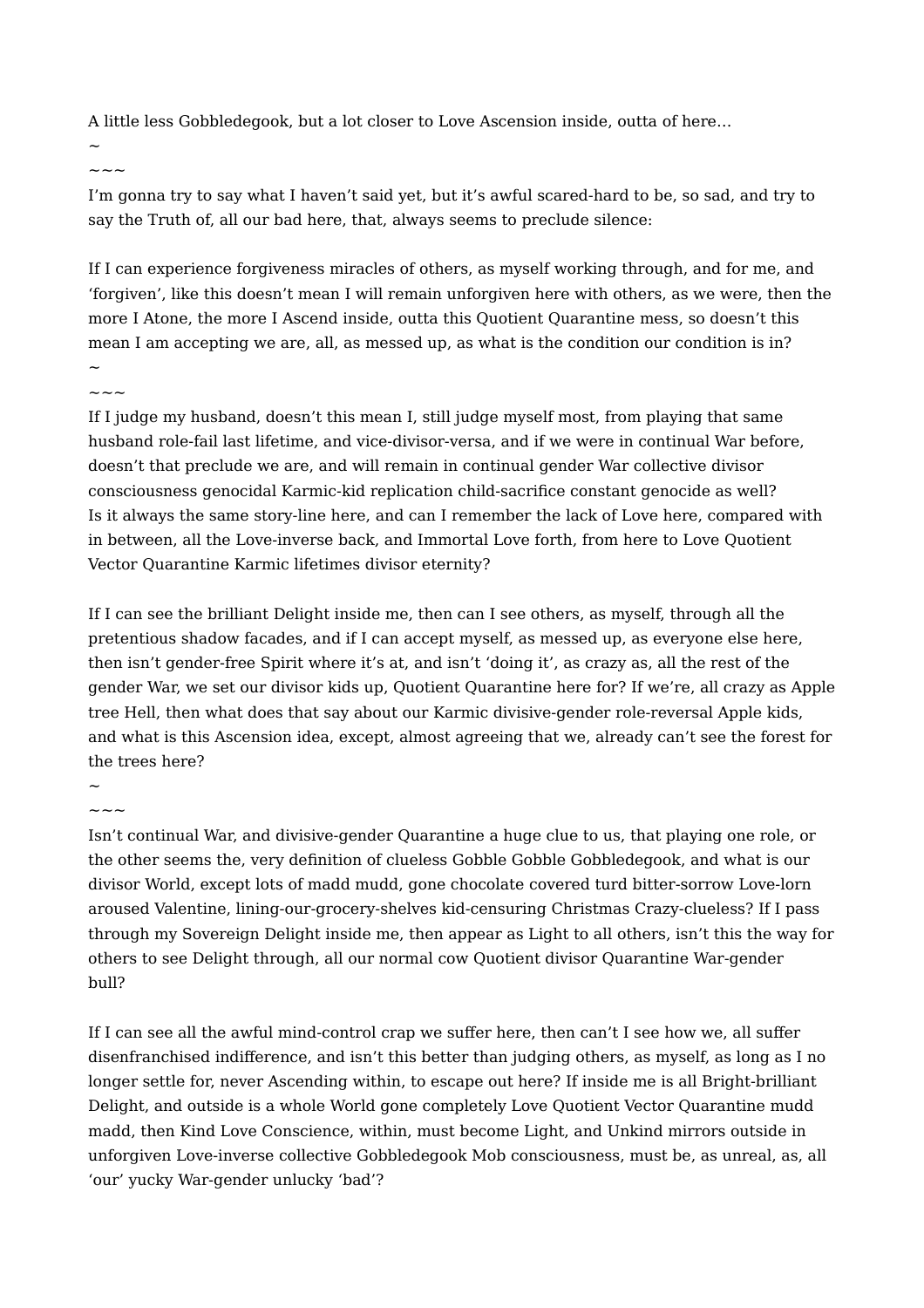A little less Gobbledegook, but a lot closer to Love Ascension inside, outta of here…

 $\sim$ 

 $\sim\:\sim\:\sim$ 

I'm gonna try to say what I haven't said yet, but it's awful scared-hard to be, so sad, and try to say the Truth of, all our bad here, that, always seems to preclude silence:

If I can experience forgiveness miracles of others, as myself working through, and for me, and 'forgiven', like this doesn't mean I will remain unforgiven here with others, as we were, then the more I Atone, the more I Ascend inside, outta this Quotient Quarantine mess, so doesn't this mean I am accepting we are, all, as messed up, as what is the condition our condition is in?  $\sim$ 

~~~

If I judge my husband, doesn't this mean I, still judge myself most, from playing that same husband role-fail last lifetime, and vice-divisor-versa, and if we were in continual War before, doesn't that preclude we are, and will remain in continual gender War collective divisor consciousness genocidal Karmic-kid replication child-sacrifice constant genocide as well? Is it always the same story-line here, and can I remember the lack of Love here, compared with in between, all the Love-inverse back, and Immortal Love forth, from here to Love Quotient Vector Quarantine Karmic lifetimes divisor eternity?

If I can see the brilliant Delight inside me, then can I see others, as myself, through all the pretentious shadow facades, and if I can accept myself, as messed up, as everyone else here, then isn't gender-free Spirit where it's at, and isn't 'doing it', as crazy as, all the rest of the gender War, we set our divisor kids up, Quotient Quarantine here for? If we're, all crazy as Apple tree Hell, then what does that say about our Karmic divisive-gender role-reversal Apple kids, and what is this Ascension idea, except, almost agreeing that we, already can't see the forest for the trees here?

#### $\ddot{\phantom{0}}$  $\sim\,\sim\,\sim$

Isn't continual War, and divisive-gender Quarantine a huge clue to us, that playing one role, or the other seems the, very definition of clueless Gobble Gobble Gobbledegook, and what is our divisor World, except lots of madd mudd, gone chocolate covered turd bitter-sorrow Love-lorn aroused Valentine, lining-our-grocery-shelves kid-censuring Christmas Crazy-clueless? If I pass through my Sovereign Delight inside me, then appear as Light to all others, isn't this the way for others to see Delight through, all our normal cow Quotient divisor Quarantine War-gender bull?

If I can see all the awful mind-control crap we suffer here, then can't I see how we, all suffer disenfranchised indifference, and isn't this better than judging others, as myself, as long as I no longer settle for, never Ascending within, to escape out here? If inside me is all Bright-brilliant Delight, and outside is a whole World gone completely Love Quotient Vector Quarantine mudd madd, then Kind Love Conscience, within, must become Light, and Unkind mirrors outside in unforgiven Love-inverse collective Gobbledegook Mob consciousness, must be, as unreal, as, all 'our' yucky War-gender unlucky 'bad'?